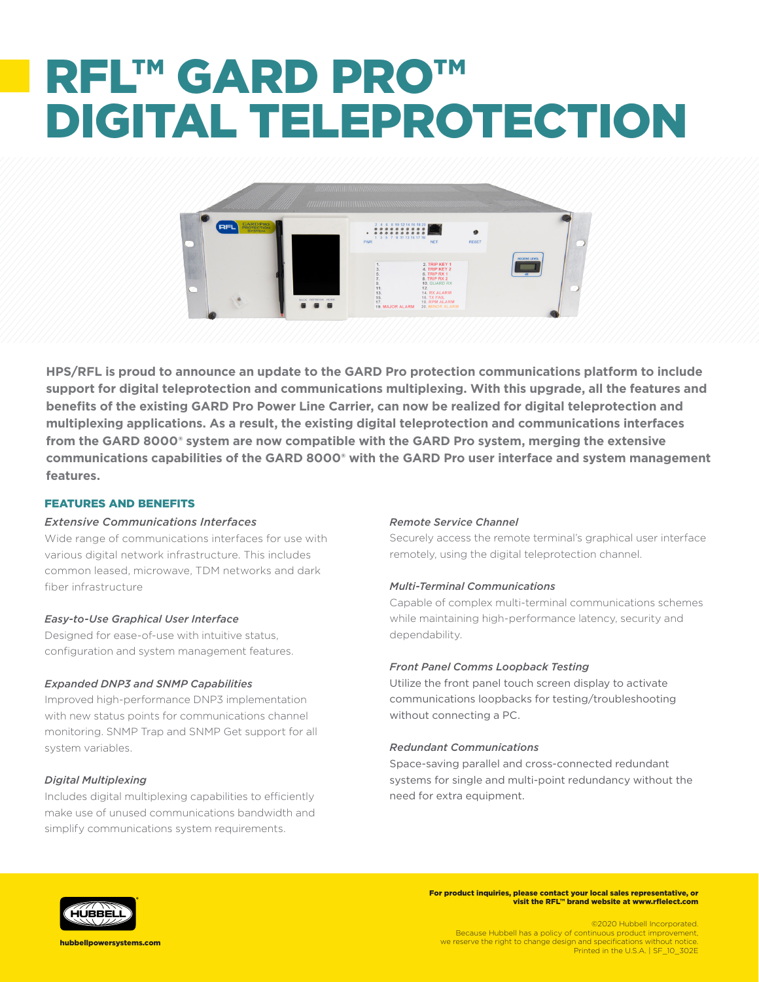# RFL™ GARD PRO™ DIGITAL TELEPROTECTION



**HPS/RFL is proud to announce an update to the GARD Pro protection communications platform to include support for digital teleprotection and communications multiplexing. With this upgrade, all the features and benefits of the existing GARD Pro Power Line Carrier, can now be realized for digital teleprotection and multiplexing applications. As a result, the existing digital teleprotection and communications interfaces from the GARD 8000® system are now compatible with the GARD Pro system, merging the extensive communications capabilities of the GARD 8000® with the GARD Pro user interface and system management features.**

## FEATURES AND BENEFITS

## *Extensive Communications Interfaces*

Wide range of communications interfaces for use with various digital network infrastructure. This includes common leased, microwave, TDM networks and dark fiber infrastructure

## *Easy-to-Use Graphical User Interface*

Designed for ease-of-use with intuitive status, configuration and system management features.

## *Expanded DNP3 and SNMP Capabilities*

Improved high-performance DNP3 implementation with new status points for communications channel monitoring. SNMP Trap and SNMP Get support for all system variables.

## *Digital Multiplexing*

Includes digital multiplexing capabilities to efficiently make use of unused communications bandwidth and simplify communications system requirements.

#### *Remote Service Channel*

Securely access the remote terminal's graphical user interface remotely, using the digital teleprotection channel.

#### *Multi-Terminal Communications*

Capable of complex multi-terminal communications schemes while maintaining high-performance latency, security and dependability.

#### *Front Panel Comms Loopback Testing*

Utilize the front panel touch screen display to activate communications loopbacks for testing/troubleshooting without connecting a PC.

#### *Redundant Communications*

Space-saving parallel and cross-connected redundant systems for single and multi-point redundancy without the need for extra equipment.



For product inquiries, please contact your local sales representative, or visit the RFL™ brand website at www.rflelect.com

©2020 Hubbell Incorporated. Because Hubbell has a policy of continuous product improvement, we reserve the right to change design and specifications without notice. Printed in the U.S.A. | SF\_10\_302E

hubbellpowersystems.com